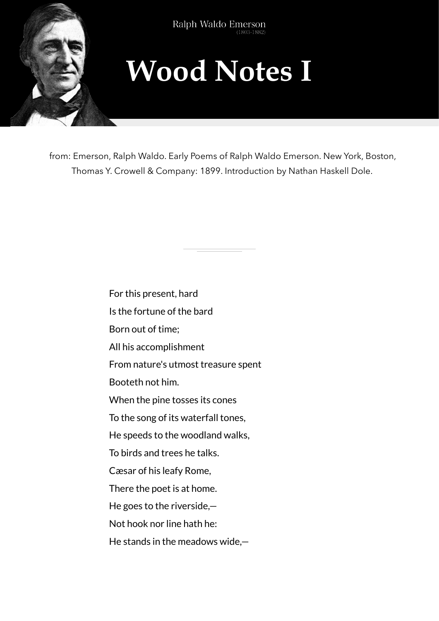

## **Wood Notes I**

from: Emerson, Ralph Waldo. Early Poems of Ralph Waldo Emerson. New York, Boston, Thomas Y. Crowell & Company: 1899. Introduction by Nathan Haskell Dole.

For this present, hard

Is the fortune of the bard

Born out of time;

All his accomplishment

From nature's utmost treasure spent

Booteth not him.

When the pine tosses its cones

To the song of its waterfall tones,

He speeds to the woodland walks,

To birds and trees he talks.

Cæsar of his leafy Rome,

There the poet is at home.

He goes to the riverside,—

Not hook nor line hath he:

He stands in the meadows wide,—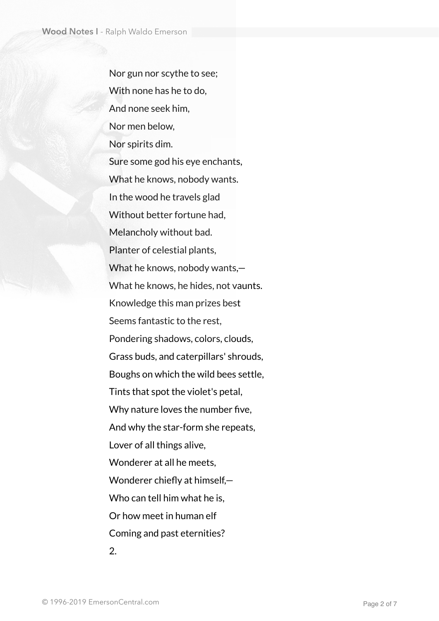Nor gun nor scythe to see; With none has he to do, And none seek him, Nor men below, Nor spirits dim. Sure some god his eye enchants, What he knows, nobody wants. In the wood he travels glad Without better fortune had, Melancholy without bad. Planter of celestial plants, What he knows, nobody wants,— What he knows, he hides, not vaunts. Knowledge this man prizes best Seems fantastic to the rest, Pondering shadows, colors, clouds, Grass buds, and caterpillars' shrouds, Boughs on which the wild bees settle, Tints that spot the violet's petal, Why nature loves the number five, And why the star-form she repeats, Lover of all things alive, Wonderer at all he meets, Wonderer chiefly at himself,— Who can tell him what he is, Or how meet in human elf Coming and past eternities? 2.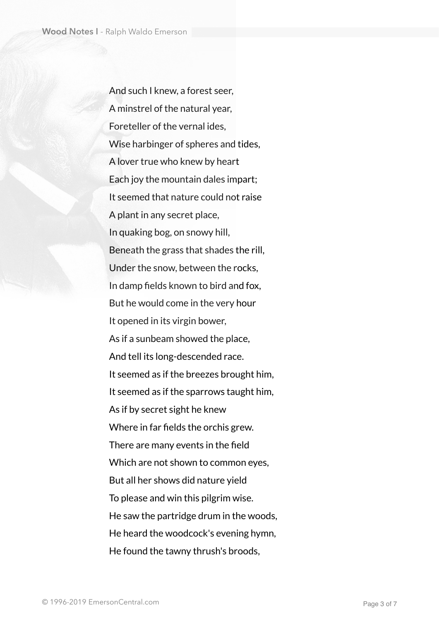And such I knew, a forest seer, A minstrel of the natural year, Foreteller of the vernal ides, Wise harbinger of spheres and tides, A lover true who knew by heart Each joy the mountain dales impart; It seemed that nature could not raise A plant in any secret place, In quaking bog, on snowy hill, Beneath the grass that shades the rill, Under the snow, between the rocks, In damp fields known to bird and fox, But he would come in the very hour It opened in its virgin bower, As if a sunbeam showed the place, And tell its long-descended race. It seemed as if the breezes brought him, It seemed as if the sparrows taught him, As if by secret sight he knew Where in far fields the orchis grew. There are many events in the field Which are not shown to common eyes, But all her shows did nature yield To please and win this pilgrim wise. He saw the partridge drum in the woods, He heard the woodcock's evening hymn, He found the tawny thrush's broods,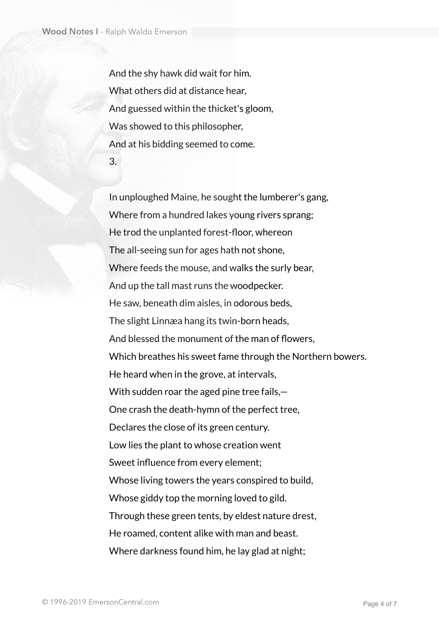And the shy hawk did wait for him. What others did at distance hear, And guessed within the thicket's gloom, Was showed to this philosopher, And at his bidding seemed to come. 3.

In unploughed Maine, he sought the lumberer's gang, Where from a hundred lakes young rivers sprang; He trod the unplanted forest-floor, whereon The all-seeing sun for ages hath not shone, Where feeds the mouse, and walks the surly bear, And up the tall mast runs the woodpecker. He saw, beneath dim aisles, in odorous beds, The slight Linnæa hang its twin-born heads, And blessed the monument of the man of flowers, Which breathes his sweet fame through the Northern bowers. He heard when in the grove, at intervals, With sudden roar the aged pine tree fails,— One crash the death-hymn of the perfect tree, Declares the close of its green century. Low lies the plant to whose creation went Sweet influence from every element; Whose living towers the years conspired to build, Whose giddy top the morning loved to gild. Through these green tents, by eldest nature drest, He roamed, content alike with man and beast. Where darkness found him, he lay glad at night;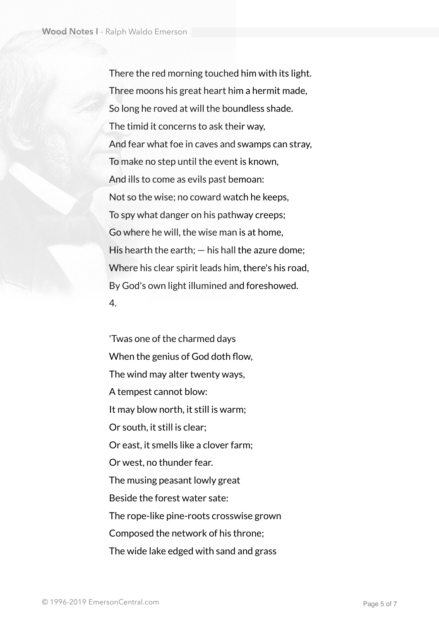There the red morning touched him with its light. Three moons his great heart him a hermit made, So long he roved at will the boundless shade. The timid it concerns to ask their way, And fear what foe in caves and swamps can stray, To make no step until the event is known, And ills to come as evils past bemoan: Not so the wise; no coward watch he keeps, To spy what danger on his pathway creeps; Go where he will, the wise man is at home, His hearth the earth;  $-$  his hall the azure dome; Where his clear spirit leads him, there's his road, By God's own light illumined and foreshowed. 4.

'Twas one of the charmed days When the genius of God doth flow, The wind may alter twenty ways, A tempest cannot blow: It may blow north, it still is warm; Or south, it still is clear; Or east, it smells like a clover farm; Or west, no thunder fear. The musing peasant lowly great Beside the forest water sate: The rope-like pine-roots crosswise grown Composed the network of his throne; The wide lake edged with sand and grass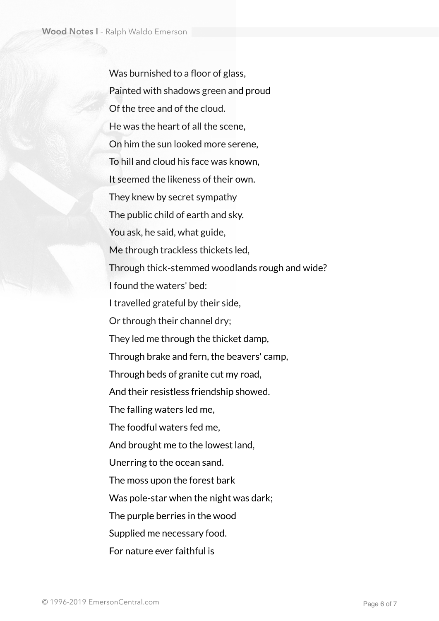Was burnished to a floor of glass, Painted with shadows green and proud Of the tree and of the cloud. He was the heart of all the scene, On him the sun looked more serene, To hill and cloud his face was known, It seemed the likeness of their own. They knew by secret sympathy The public child of earth and sky. You ask, he said, what guide, Me through trackless thickets led, Through thick-stemmed woodlands rough and wide? I found the waters' bed: I travelled grateful by their side, Or through their channel dry; They led me through the thicket damp, Through brake and fern, the beavers' camp, Through beds of granite cut my road, And their resistless friendship showed. The falling waters led me, The foodful waters fed me, And brought me to the lowest land, Unerring to the ocean sand. The moss upon the forest bark Was pole-star when the night was dark; The purple berries in the wood Supplied me necessary food. For nature ever faithful is